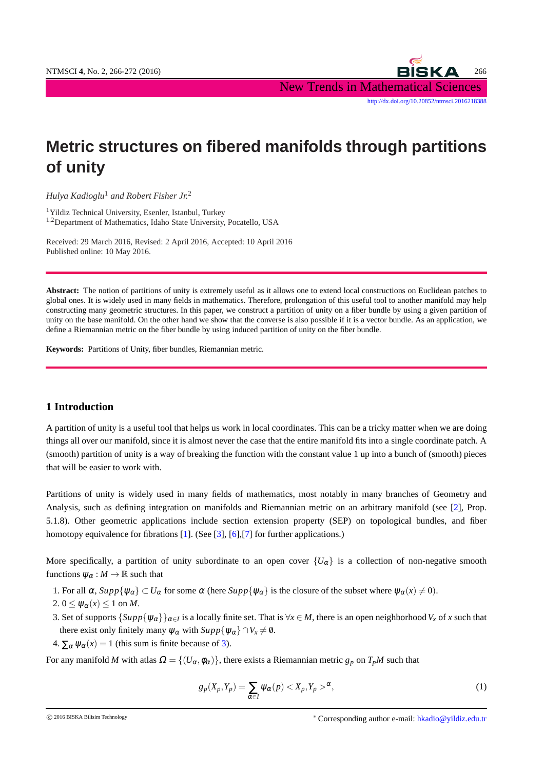NTMSCI **4**, No. 2, 266-272 (2016) 266 New Trends in Mathematical Sciences [http://dx.doi.org/10.20852/ntmsci.2016218388](http://dx.doi.org/10.20852/ntmsci.2016218388 )

# **Metric structures on fibered manifolds through partitions of unity**

*Hulya Kadioglu*<sup>1</sup> *and Robert Fisher Jr.*<sup>2</sup>

<sup>1</sup>Yildiz Technical University, Esenler, Istanbul, Turkey <sup>1</sup>,2Department of Mathematics, Idaho State University, Pocatello, USA

Received: 29 March 2016, Revised: 2 April 2016, Accepted: 10 April 2016 Published online: 10 May 2016.

**Abstract:** The notion of partitions of unity is extremely useful as it allows one to extend local constructions on Euclidean patches to global ones. It is widely used in many fields in mathematics. Therefore, prolongation of this useful tool to another manifold may help constructing many geometric structures. In this paper, we construct a partition of unity on a fiber bundle by using a given partition of unity on the base manifold. On the other hand we show that the converse is also possible if it is a vector bundle. As an application, we define a Riemannian metric on the fiber bundle by using induced partition of unity on the fiber bundle.

**Keywords:** Partitions of Unity, fiber bundles, Riemannian metric.

## **1 Introduction**

A partition of unity is a useful tool that helps us work in local coordinates. This can be a tricky matter when we are doing things all over our manifold, since it is almost never the case that the entire manifold fits into a single coordinate patch. A (smooth) partition of unity is a way of breaking the function with the constant value 1 up into a bunch of (smooth) pieces that will be easier to work with.

Partitions of unity is widely used in many fields of mathematics, most notably in many branches of Geometry and Analysis, such as defining integration on manifolds and Riemannian metric on an arbitrary manifold (see [\[2\]](#page-5-0), Prop. 5.1.8). Other geometric applications include section extension property (SEP) on topological bundles, and fiber homotopy equivalence for fibrations [\[1\]](#page-5-1). (See [\[3\]](#page-5-2), [\[6\]](#page-6-0), [\[7\]](#page-6-1) for further applications.)

<span id="page-0-1"></span>More specifically, a partition of unity subordinate to an open cover  ${U_\alpha}$  is a collection of non-negative smooth functions  $\psi_{\alpha}: M \to \mathbb{R}$  such that

- 1. For all  $\alpha$ ,  $Supp\{\psi_{\alpha}\}\subset U_{\alpha}$  for some  $\alpha$  (here  $Supp\{\psi_{\alpha}\}\$  is the closure of the subset where  $\psi_{\alpha}(x)\neq 0$ ).
- <span id="page-0-0"></span>2.  $0 \leq \psi_{\alpha}(x) \leq 1$  on *M*.
- 3. Set of supports  $\{Supp\{\psi_\alpha\}\}_{\alpha\in I}$  is a locally finite set. That is  $\forall x\in M$ , there is an open neighborhood  $V_x$  of  $x$  such that there exist only finitely many  $\psi_{\alpha}$  with  $\text{Supp}\{\psi_{\alpha}\}\cap V_x \neq \emptyset$ .
- 4.  $\sum_{\alpha} \psi_{\alpha}(x) = 1$  (this sum is finite because of [3\)](#page-0-0).

<span id="page-0-2"></span>For any manifold *M* with atlas  $\Omega = \{ (U_\alpha, \phi_\alpha) \}$ , there exists a Riemannian metric  $g_p$  on  $T_pM$  such that

$$
g_p(X_p, Y_p) = \sum_{\alpha \in I} \psi_{\alpha}(p) < X_p, Y_p >^{\alpha},\tag{1}
$$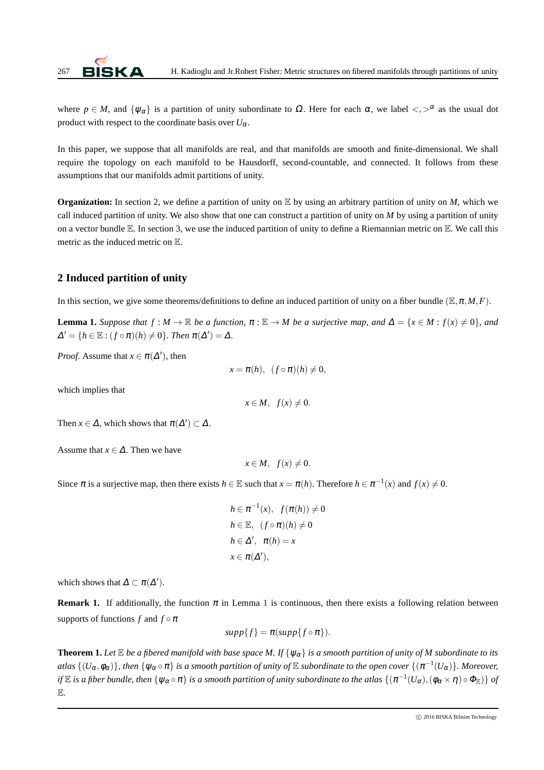

where  $p \in M$ , and  $\{\psi_{\alpha}\}\$ is a partition of unity subordinate to  $\Omega$ . Here for each  $\alpha$ , we label  $\langle \cdot, \rangle^{\alpha}$  as the usual dot product with respect to the coordinate basis over  $U_{\alpha}$ .

In this paper, we suppose that all manifolds are real, and that manifolds are smooth and finite-dimensional. We shall require the topology on each manifold to be Hausdorff, second-countable, and connected. It follows from these assumptions that our manifolds admit partitions of unity.

**Organization:** In section 2, we define a partition of unity on  $\mathbb{E}$  by using an arbitrary partition of unity on *M*, which we call induced partition of unity. We also show that one can construct a partition of unity on *M* by using a partition of unity on a vector bundle  $\mathbb E$ . In section 3, we use the induced partition of unity to define a Riemannian metric on  $\mathbb E$ . We call this metric as the induced metric on E.

# <span id="page-1-2"></span>**2 Induced partition of unity**

<span id="page-1-0"></span>In this section, we give some theorems/definitions to define an induced partition of unity on a fiber bundle  $(\mathbb{E}, \pi, M, F)$ .

**Lemma 1.** *Suppose that*  $f : M \to \mathbb{R}$  *be a function,*  $\pi : \mathbb{E} \to M$  *be a surjective map, and*  $\Delta = \{x \in M : f(x) \neq 0\}$ *, and*  $\Delta' = \{h \in \mathbb{E} : (f \circ \pi)(h) \neq 0\}$ *. Then*  $\pi(\Delta') = \Delta$ *.* 

*Proof.* Assume that  $x \in \pi(\Delta')$ , then

$$
x = \pi(h), \ \ (f \circ \pi)(h) \neq 0,
$$

which implies that

$$
x \in M, \ f(x) \neq 0.
$$

Then  $x \in \Delta$ , which shows that  $\pi(\Delta') \subset \Delta$ .

Assume that  $x \in \Delta$ . Then we have

$$
x \in M, \ f(x) \neq 0.
$$

Since  $\pi$  is a surjective map, then there exists  $h \in \mathbb{E}$  such that  $x = \pi(h)$ . Therefore  $h \in \pi^{-1}(x)$  and  $f(x) \neq 0$ .

$$
h \in \pi^{-1}(x), \ f(\pi(h)) \neq 0
$$
  
\n
$$
h \in \mathbb{E}, \ (f \circ \pi)(h) \neq 0
$$
  
\n
$$
h \in \Delta', \ \pi(h) = x
$$
  
\n
$$
x \in \pi(\Delta'),
$$

which shows that  $\Delta \subset \pi(\Delta')$ .

**Remark [1](#page-1-0).** If additionally, the function  $\pi$  in Lemma 1 is continuous, then there exists a following relation between supports of functions *f* and  $f \circ \pi$ 

$$
supp\{f\} = \pi(supp\{f\circ\pi\}).
$$

<span id="page-1-1"></span>**Theorem 1.** Let  $\mathbb E$  *be a fibered manifold with base space M. If*  $\{\psi_\alpha\}$  *is a smooth partition of unity of M subordinate to its*  $a$ tlas  $\{(U_\alpha,\phi_\alpha)\}$ , then  $\{\psi_\alpha\circ\pi\}$  is a smooth partition of unity of  $\Bbb E$  subordinate to the open cover  $\{(\pi^{-1}(U_\alpha)\}$ . Moreover, *if*  $E$  *is a fiber bundle, then*  $\{\psi_\alpha \circ \pi\}$  *is a smooth partition of unity subordinate to the atlas*  $\{(\pi^{-1}(U_\alpha),(\phi_\alpha \times \eta) \circ \Phi_\mathbb{E})\}$  *of* E*.*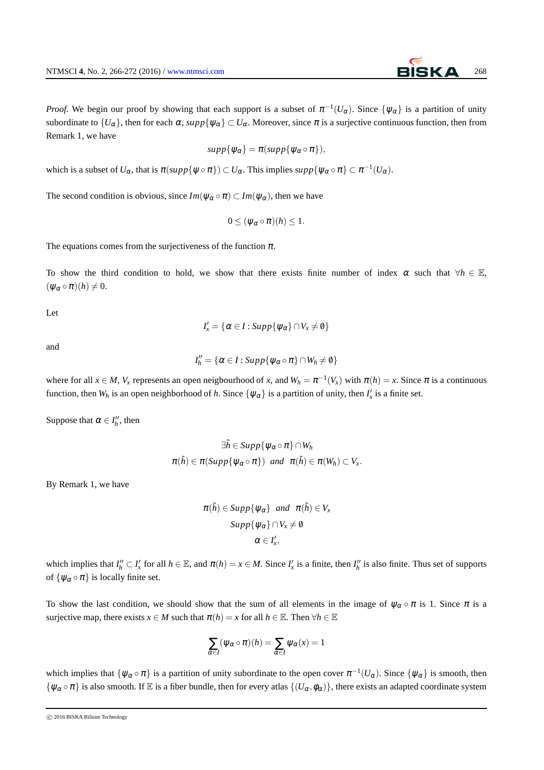*Proof.* We begin our proof by showing that each support is a subset of  $\pi^{-1}(U_\alpha)$ . Since  $\{\psi_\alpha\}$  is a partition of unity subordinate to  $\{U_\alpha\}$ , then for each  $\alpha$ ,  $supp\{\psi_\alpha\} \subset U_\alpha$ . Moreover, since  $\pi$  is a surjective continuous function, then from Remark 1, we have

$$
supp\{\psi_{\alpha}\}=\pi(supp\{\psi_{\alpha}\circ\pi\}),
$$

which is a subset of  $U_{\alpha}$ , that is  $\pi(supp\{\psi \circ \pi\}) \subset U_{\alpha}$ . This implies  $supp\{\psi_{\alpha} \circ \pi\} \subset \pi^{-1}(U_{\alpha})$ .

The second condition is obvious, since  $Im(\psi_{\alpha} \circ \pi) \subset Im(\psi_{\alpha})$ , then we have

$$
0\leq (\psi_\alpha\circ\pi)(h)\leq 1.
$$

The equations comes from the surjectiveness of the function  $\pi$ .

To show the third condition to hold, we show that there exists finite number of index  $\alpha$  such that  $\forall h \in \mathbb{E}$ ,  $(\psi_{\alpha} \circ \pi)(h) \neq 0.$ 

Let

$$
I'_x = \{ \alpha \in I : Supp\{\psi_{\alpha}\} \cap V_x \neq \emptyset \}
$$

and

$$
I''_h = \{ \alpha \in I : \mathit{Supp}\{\psi_\alpha \circ \pi\} \cap W_h \neq \emptyset \}
$$

where for all  $x \in M$ ,  $V_x$  represents an open neigbourhood of x, and  $W_h = \pi^{-1}(V_x)$  with  $\pi(h) = x$ . Since  $\pi$  is a continuous function, then  $W_h$  is an open neighborhood of *h*. Since  $\{\psi_\alpha\}$  is a partition of unity, then  $I'_x$  is a finite set.

Suppose that  $\alpha \in I_h''$ , then

$$
\exists \tilde{h} \in Supp \{ \psi_{\alpha} \circ \pi \} \cap W_h
$$
  

$$
\pi(\tilde{h}) \in \pi(Supp \{ \psi_{\alpha} \circ \pi \}) \text{ and } \pi(\tilde{h}) \in \pi(W_h) \subset V_x.
$$

By Remark 1, we have

$$
\pi(\tilde{h}) \in Supp\{\psi_{\alpha}\} \text{ and } \pi(\tilde{h}) \in V_x
$$

$$
Supp\{\psi_{\alpha}\} \cap V_x \neq \emptyset
$$

$$
\alpha \in I'_x,
$$

which implies that  $I''_h \subset I'_x$  for all  $h \in \mathbb{E}$ , and  $\pi(h) = x \in M$ . Since  $I'_x$  is a finite, then  $I''_h$  is also finite. Thus set of supports of  $\{\psi_{\alpha} \circ \pi\}$  is locally finite set.

To show the last condition, we should show that the sum of all elements in the image of  $\psi_{\alpha} \circ \pi$  is 1. Since  $\pi$  is a surjective map, there exists  $x \in M$  such that  $\pi(h) = x$  for all  $h \in \mathbb{E}$ . Then  $\forall h \in \mathbb{E}$ 

$$
\sum_{\alpha \in I} (\psi_\alpha \circ \pi)(h) = \sum_{\alpha \in I} \psi_\alpha(x) = 1
$$

which implies that  $\{\psi_\alpha \circ \pi\}$  is a partition of unity subordinate to the open cover  $\pi^{-1}(U_\alpha)$ . Since  $\{\psi_\alpha\}$  is smooth, then  $\{\psi_\alpha \circ \pi\}$  is also smooth. If E is a fiber bundle, then for every atlas  $\{(U_\alpha,\phi_\alpha)\}\)$ , there exists an adapted coordinate system

c 2016 BISKA Bilisim Technology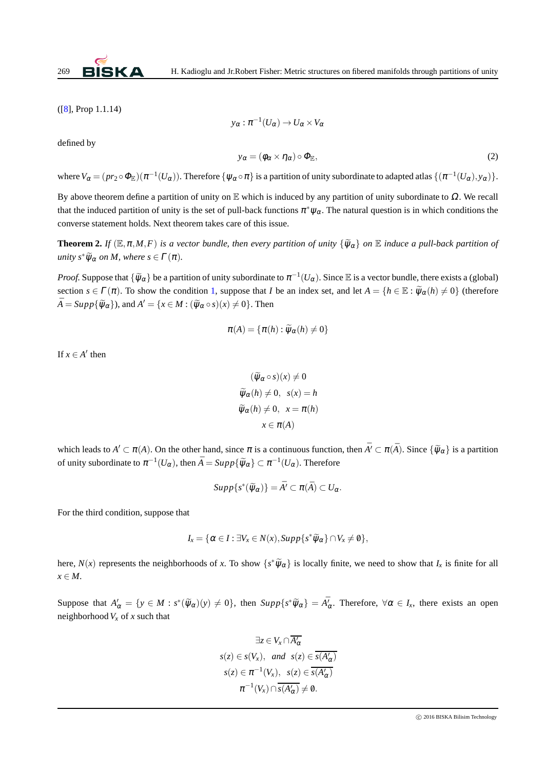

([\[8\]](#page-6-2), Prop 1.1.14)

<span id="page-3-0"></span>defined by

$$
y_{\alpha} : \pi^{-1}(U_{\alpha}) \to U_{\alpha} \times V_{\alpha}
$$
  

$$
y_{\alpha} = (\phi_{\alpha} \times \eta_{\alpha}) \circ \Phi_{\mathbb{E}},
$$
 (2)

where  $V_\alpha = (pr_2 \circ \Phi_\mathbb{E}) (\pi^{-1}(U_\alpha))$ . Therefore  $\{\psi_\alpha \circ \pi\}$  is a partition of unity subordinate to adapted atlas  $\{(\pi^{-1}(U_\alpha),y_\alpha)\}.$ 

By above theorem define a partition of unity on  $E$  which is induced by any partition of unity subordinate to  $\Omega$ . We recall that the induced partition of unity is the set of pull-back functions  $\pi^*\psi_\alpha$ . The natural question is in which conditions the converse statement holds. Next theorem takes care of this issue.

**Theorem 2.** *If*  $(E, \pi, M, F)$  *is a vector bundle, then every partition of unity*  $\{\widetilde{\psi}_\alpha\}$  *on*  $E$  *induce a pull-back partition of unity*  $s^* \widetilde{\psi}_{\alpha}$  *on M, where*  $s \in \Gamma(\pi)$ *.* 

*Proof.* Suppose that  $\{\widetilde{\psi}_\alpha\}$  be a partition of unity subordinate to  $\pi^{-1}(U_\alpha)$ . Since E is a vector bundle, there exists a (global) section  $s \in \Gamma(\pi)$ . To show the condition [1,](#page-0-1) suppose that *I* be an index set, and let  $A = \{h \in \mathbb{E} : \widetilde{\psi}_{\alpha}(h) \neq 0\}$  (therefore  $\overline{A} = Supp\{\widetilde{\psi}_{\alpha}\}\text{, and }A' = \{x \in M : (\widetilde{\psi}_{\alpha} \circ s)(x) \neq 0\}$ . Then

$$
\pi(A) = \{ \pi(h) : \widetilde{\psi}_{\alpha}(h) \neq 0 \}
$$

If  $x \in A'$  then

$$
(\widetilde{\psi}_{\alpha} \circ s)(x) \neq 0
$$
  

$$
\widetilde{\psi}_{\alpha}(h) \neq 0, \quad s(x) = h
$$
  

$$
\widetilde{\psi}_{\alpha}(h) \neq 0, \quad x = \pi(h)
$$
  

$$
x \in \pi(A)
$$

which leads to  $A' \subset \pi(A)$ . On the other hand, since  $\pi$  is a continuous function, then  $\bar{A'} \subset \pi(\bar{A})$ . Since  $\{\widetilde{\psi}_\alpha\}$  is a partition of unity subordinate to  $\pi^{-1}(U_\alpha)$ , then  $\bar{A} = Supp\{\widetilde{\psi}_\alpha\} \subset \pi^{-1}(U_\alpha)$ . Therefore

$$
Supp\{s^*(\widetilde{\psi}_\alpha)\}=\overline{A'}\subset \pi(\overline{A})\subset U_\alpha.
$$

For the third condition, suppose that

$$
I_x = \{ \alpha \in I : \exists V_x \in N(x), \mathop{\mathit{Supp}} \{ s^* \widetilde{\psi}_\alpha \} \cap V_x \neq \emptyset \},\
$$

here,  $N(x)$  represents the neighborhoods of *x*. To show  $\{s^*\widetilde{\psi}_\alpha\}$  is locally finite, we need to show that  $I_x$  is finite for all *x* ∈ *M*.

Suppose that  $A'_\alpha = \{y \in M : s^*(\widetilde{\psi}_\alpha)(y) \neq 0\}$ , then  $Supp\{s^*\widetilde{\psi}_\alpha\} = A^{\overline{\imath}}_\alpha$ . Therefore,  $\forall \alpha \in I_x$ , there exists an open neighborhood  $V_x$  of *x* such that

$$
\exists z \in V_x \cap \overline{A'_\alpha}
$$
  

$$
s(z) \in s(V_x), \text{ and } s(z) \in \overline{s(A'_\alpha)}
$$
  

$$
s(z) \in \pi^{-1}(V_x), \text{ } s(z) \in \overline{s(A'_\alpha)}
$$
  

$$
\pi^{-1}(V_x) \cap \overline{s(A'_\alpha)} \neq \emptyset.
$$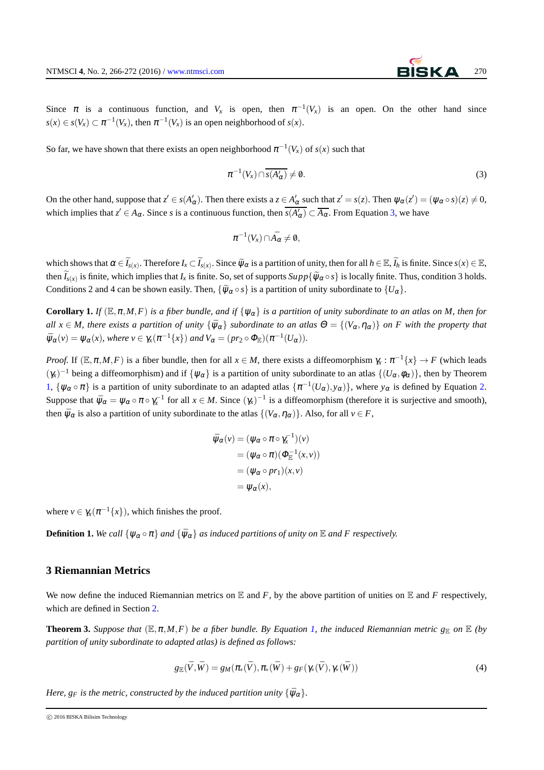Since  $\pi$  is a continuous function, and  $V_x$  is open, then  $\pi^{-1}(V_x)$  is an open. On the other hand since  $s(x) \in s(V_x) \subset \pi^{-1}(V_x)$ , then  $\pi^{-1}(V_x)$  is an open neighborhood of  $s(x)$ .

So far, we have shown that there exists an open neighborhood  $\pi^{-1}(V_x)$  of  $s(x)$  such that

<span id="page-4-0"></span>
$$
\pi^{-1}(V_x) \cap \overline{s(A'_\alpha)} \neq \emptyset. \tag{3}
$$

On the other hand, suppose that  $z' \in s(A'_\alpha)$ . Then there exists a  $z \in A'_\alpha$  such that  $z' = s(z)$ . Then  $\psi_\alpha(z') = (\psi_\alpha \circ s)(z) \neq 0$ , which implies that  $z' \in A_\alpha$ . Since *s* is a continuous function, then  $\overline{s(A'_\alpha)} \subset \overline{A_\alpha}$ . From Equation [3,](#page-4-0) we have

$$
\pi^{-1}(V_x)\cap \bar{A_\alpha}\neq \emptyset,
$$

which shows that  $\alpha \in \widetilde{I}_{s(x)}$ . Therefore  $I_x \subset \widetilde{I}_{s(x)}$ . Since  $\widetilde{\psi}_{\alpha}$  is a partition of unity, then for all  $h \in \mathbb{E}, \widetilde{I}_h$  is finite. Since  $s(x) \in \mathbb{E},$ then  $\widetilde{I}_{s(x)}$  is finite, which implies that  $I_x$  is finite. So, set of supports  $Supp\{\widetilde{\psi}_\alpha \circ s\}$  is locally finite. Thus, condition 3 holds. Conditions 2 and 4 can be shown easily. Then,  $\{\widetilde{\psi}_{\alpha} \circ s\}$  is a partition of unity subordinate to  $\{U_{\alpha}\}\$ .

**Corollary 1.** *If*  $(E, \pi, M, F)$  *is a fiber bundle, and if*  $\{\psi_{\alpha}\}\$  *is a partition of unity subordinate to an atlas on M, then for all*  $x \in M$ , there exists a partition of unity  $\{\bar{\psi}_\alpha\}$  subordinate to an atlas  $\Theta = \{(V_\alpha, \eta_\alpha)\}\$  on F with the property that  $\Psi_{\alpha}(v) = \Psi_{\alpha}(x)$ , where  $v \in \chi_{\alpha}(\pi^{-1}\{x\})$  and  $V_{\alpha} = (\mathit{pr}_2 \circ \Phi_{\mathbb{E}})(\pi^{-1}(U_{\alpha}))$ .

*Proof.* If  $(E, \pi, M, F)$  is a fiber bundle, then for all  $x \in M$ , there exists a diffeomorphism  $\gamma_x : \pi^{-1}\{x\} \to F$  (which leads  $(\gamma_x)^{-1}$  being a diffeomorphism) and if  $\{\psi_\alpha\}$  is a partition of unity subordinate to an atlas  $\{(U_\alpha,\phi_\alpha)\}\)$ , then by Theorem [1,](#page-1-1)  $\{\psi_\alpha \circ \pi\}$  is a partition of unity subordinate to an adapted atlas  $\{\pi^{-1}(U_\alpha), y_\alpha\}\)$ , where  $y_\alpha$  is defined by Equation [2.](#page-3-0) Suppose that  $\bar{\psi}_{\alpha} = \psi_{\alpha} \circ \pi \circ \gamma_{x}^{-1}$  for all  $x \in M$ . Since  $(\gamma_{x})^{-1}$  is a diffeomorphism (therefore it is surjective and smooth), then  $\bar{\psi}_{\alpha}$  is also a partition of unity subordinate to the atlas  $\{(V_{\alpha}, \eta_{\alpha})\}\)$ . Also, for all  $v \in F$ ,

$$
\overline{\psi}_{\alpha}(v) = (\psi_{\alpha} \circ \pi \circ \gamma_{x}^{-1})(v)
$$
  
= (\psi\_{\alpha} \circ \pi)(\Phi\_{\mathbb{E}}^{-1}(x, v))  
= (\psi\_{\alpha} \circ pr\_{1})(x, v)  
= \psi\_{\alpha}(x),

where  $v \in \gamma_x(\pi^{-1}\{x\})$ , which finishes the proof.

**Definition 1.** We call  $\{\psi_{\alpha} \circ \pi\}$  *and*  $\{\bar{\psi}_{\alpha}\}$  *as induced partitions of unity on*  $\mathbb E$  *and*  $F$  *respectively.* 

#### **3 Riemannian Metrics**

We now define the induced Riemannian metrics on  $E$  and  $F$ , by the above partition of unities on  $E$  and  $F$  respectively, which are defined in Section [2.](#page-1-2)

**Theorem 3.** *Suppose that*  $(E, \pi, M, F)$  *be a fiber bundle. By Equation [1,](#page-0-2) the induced Riemannian metric*  $g_{E}$  *on*  $E$  *(by partition of unity subordinate to adapted atlas) is defined as follows:*

<span id="page-4-1"></span>
$$
g_{\mathbb{E}}(\bar{V},\bar{W})=g_M(\pi_*(\bar{V}),\pi_*(\bar{W})+g_F(\gamma_*(\bar{V}),\gamma_*(\bar{W}))
$$
\n(4)

*Here,*  $g_F$  *is the metric, constructed by the induced partition unity*  ${\bar{\psi}_{\alpha}}$ *.* 

c 2016 BISKA Bilisim Technology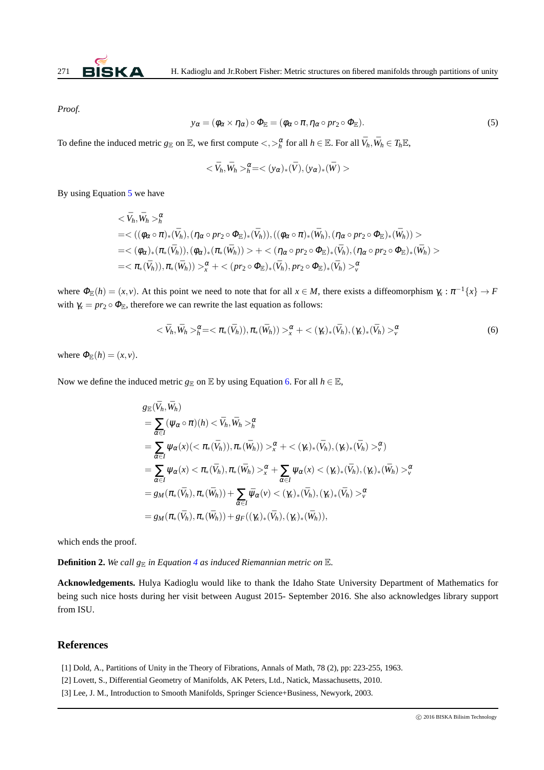

<span id="page-5-3"></span>*Proof.*

$$
y_{\alpha} = (\phi_{\alpha} \times \eta_{\alpha}) \circ \Phi_{\mathbb{E}} = (\phi_{\alpha} \circ \pi, \eta_{\alpha} \circ pr_2 \circ \Phi_{\mathbb{E}}). \tag{5}
$$

To define the induced metric  $g_{\mathbb{E}}$  on  $\mathbb{E}$ , we first compute  $\langle , \rangle_h^{\alpha}$  for all  $h \in \mathbb{E}$ . For all  $\bar{V}_h, \bar{W}_h \in T_h \mathbb{E}$ ,

$$
<\bar{V}_h, \bar{W}_h>^{\alpha}_{h} = <(y_{\alpha})_*(\bar{V}), (y_{\alpha})_*(\bar{W})>
$$

By using Equation [5](#page-5-3) we have

$$
\langle \bar{V}_h, \bar{W}_h \rangle_h^{\alpha} = \langle ((\phi_{\alpha} \circ \pi)_*(\bar{V}_h), (\eta_{\alpha} \circ pr_2 \circ \Phi_{\mathbb{E}})_*(\bar{V}_h)), ((\phi_{\alpha} \circ \pi)_*(\bar{W}_h), (\eta_{\alpha} \circ pr_2 \circ \Phi_{\mathbb{E}})_*(\bar{W}_h)) \rangle = \langle (\phi_{\alpha})_*(\pi_*(\bar{V}_h)), (\phi_{\alpha})_*(\pi_*(\bar{W}_h)) \rangle + \langle (\eta_{\alpha} \circ pr_2 \circ \Phi_{\mathbb{E}})_*(\bar{V}_h), (\eta_{\alpha} \circ pr_2 \circ \Phi_{\mathbb{E}})_*(\bar{W}_h) \rangle = \langle \pi_*(\bar{V}_h)), \pi_*(\bar{W}_h) \rangle \sim_{\alpha}^{\alpha} + \langle (pr_2 \circ \Phi_{\mathbb{E}})_*(\bar{V}_h), pr_2 \circ \Phi_{\mathbb{E}})_*(\bar{V}_h) \rangle_h^{\alpha}
$$

where  $\Phi_{\mathbb{E}}(h) = (x, v)$ . At this point we need to note that for all  $x \in M$ , there exists a diffeomorphism  $\gamma_x : \pi^{-1}\{x\} \to F$ with  $\gamma_x = pr_2 \circ \Phi_{\mathbb{E}}$ , therefore we can rewrite the last equation as follows:

<span id="page-5-4"></span>
$$
\langle \nabla_h, \bar{W}_h \rangle^{\alpha}_{h} = \langle \pi_*(\bar{V}_h)), \pi_*(\bar{W}_h) \rangle \rangle^{\alpha}_{x} + \langle (\chi)_*(\bar{V}_h), (\chi)_*(\bar{V}_h) \rangle^{\alpha}_{y}
$$
(6)

where  $\Phi_{\mathbb{E}}(h) = (x, v)$ .

Now we define the induced metric  $g_{\mathbb{E}}$  on  $\mathbb{E}$  by using Equation [6.](#page-5-4) For all  $h \in \mathbb{E}$ ,

$$
g_{\mathbb{E}}(\bar{V}_h, \bar{W}_h)
$$
  
\n
$$
= \sum_{\alpha \in I} (\psi_\alpha \circ \pi)(h) < \bar{V}_h, \bar{W}_h >^{\alpha}_h
$$
  
\n
$$
= \sum_{\alpha \in I} \psi_\alpha(x) (<\pi_*(\bar{V}_h)), \pi_*(\bar{W}_h)) >^{\alpha}_x + <(\gamma_x)_*(\bar{V}_h), (\gamma_x)_*(\bar{V}_h) >^{\alpha}_v)
$$
  
\n
$$
= \sum_{\alpha \in I} \psi_\alpha(x) < \pi_*(\bar{V}_h), \pi_*(\bar{W}_h) >^{\alpha}_x + \sum_{\alpha \in I} \psi_\alpha(x) < (\gamma_x)_*(\bar{V}_h), (\gamma_x)_*(\bar{W}_h) >^{\alpha}_v
$$
  
\n
$$
= g_M(\pi_*(\bar{V}_h), \pi_*(\bar{W}_h)) + \sum_{\alpha \in I} \bar{\psi}_\alpha(v) < (\gamma_x)_*(\bar{V}_h), (\gamma_x)_*(\bar{V}_h) >^{\alpha}_v
$$
  
\n
$$
= g_M(\pi_*(\bar{V}_h), \pi_*(\bar{W}_h)) + g_F((\gamma_x)_*(\bar{V}_h), (\gamma_x)_*(\bar{W}_h)),
$$

which ends the proof.

**Definition 2.** We call  $g_{\mathbb{E}}$  in Equation [4](#page-4-1) as induced Riemannian metric on  $\mathbb{E}$ .

**Acknowledgements.** Hulya Kadioglu would like to thank the Idaho State University Department of Mathematics for being such nice hosts during her visit between August 2015- September 2016. She also acknowledges library support from ISU.

## <span id="page-5-1"></span>**References**

- <span id="page-5-0"></span>[1] Dold, A., Partitions of Unity in the Theory of Fibrations, Annals of Math, 78 (2), pp: 223-255, 1963.
- <span id="page-5-2"></span>[2] Lovett, S., Differential Geometry of Manifolds, AK Peters, Ltd., Natick, Massachusetts, 2010.
- [3] Lee, J. M., Introduction to Smooth Manifolds, Springer Science+Business, Newyork, 2003.